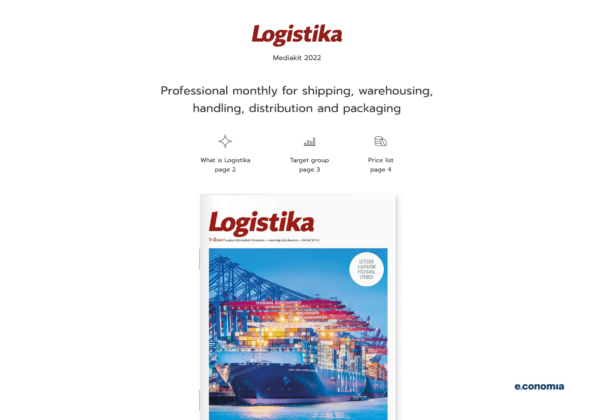

### Professional monthly for shipping, warehousing, handling, distribution and packaging



What is Logistika Target group Price list



Mediakit 2022

المللم



page 2 **page 3** page 4

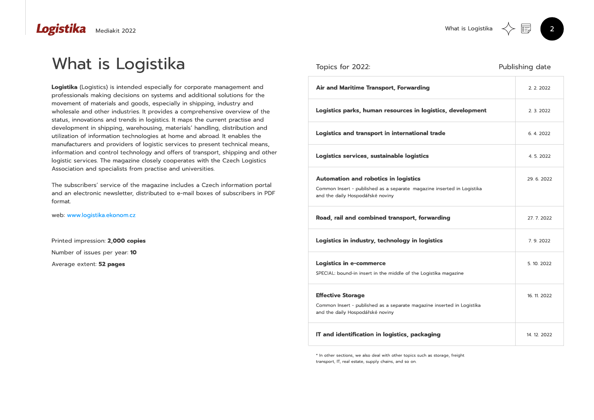

\* In other sections, we also deal with other topics such as storage, freight transport, IT, real estate, supply chains, and so on.

The subscribers' service of the magazine includes a Czech information portal and an electronic newsletter, distributed to e-mail boxes of subscribers in PDF format.

Printed impression: 2,000 copies Number of issues per year: 10 Average extent: 52 pages

| <b>Air and Maritime Transport, Forwarding</b>                                                              |
|------------------------------------------------------------------------------------------------------------|
| Logistics parks, human resources in logistics, development                                                 |
| <b>Logistics and transport in international trade</b>                                                      |
| Logistics services, sustainable logistics                                                                  |
| <b>Automation and robotics in logistics</b>                                                                |
| Common Insert - published as a separate magazine inserted in Logistika<br>and the daily Hospodářské noviny |
| Road, rail and combined transport, forwarding                                                              |
| Logistics in industry, technology in logistics                                                             |
| <b>Logistics in e-commerce</b>                                                                             |
| SPECIAL: bound-in insert in the middle of the Logistika magazine                                           |
| <b>Effective Storage</b>                                                                                   |
| Common Insert - published as a separate magazine inserted in Logistika<br>and the daily Hospodářské noviny |
| <b>IT and identification in logistics, packaging</b>                                                       |

web: www.logistika.ekonom.cz

Mediakit 2022

### Logistika

## What is Logistika Topics for 2022:<br>
Publishing date

Logistika (Logistics) is intended especially for corporate management and professionals making decisions on systems and additional solutions for the movement of materials and goods, especially in shipping, industry and wholesale and other industries. It provides a comprehensive overview of the status, innovations and trends in logistics. It maps the current practise and development in shipping, warehousing, materials' handling, distribution and utilization of information technologies at home and abroad. It enables the manufacturers and providers of logistic services to present technical means, information and control technology and offers of transport, shipping and other logistic services. The magazine closely cooperates with the Czech Logistics Association and specialists from practise and universities.  $\ddot{\phantom{0}}$ 

# 2. 2. 2022 6. 4. 2022 27. 7. 2022 2. 3. 2022 4. 5. 2022 7. 9. 2022 14. 12. 2022 5. 10. 2022 29. 6. 2022 16. 11. 2022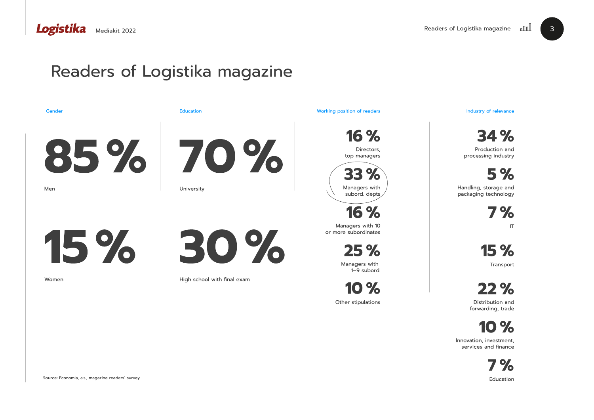## Readers of Logistika magazine

25 % 15 % **Transport** 

7 % **Education** 



16 % 34 %

16 % 7 %

10 %

# Directors,

top managers

Production and processing industry

Managers with 10 or more subordinates





IT

Managers with 1–9 subord.



Innovation, investment, services and finance

forwarding, trade



Handling, storage and packaging technology



Mediakit 2022